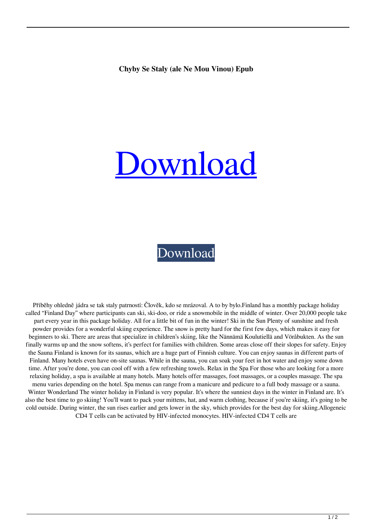## [Download](http://evacdir.com/manriques/reconquered/substantive/ZG93bmxvYWR8SFAzWTJseWZId3hOalV5TnpRd09EWTJmSHd5TlRjMGZId29UU2tnY21WaFpDMWliRzluSUZ0R1lYTjBJRWRGVGww/stungger/Y2h5Ynkgc2Ugc3RhbHkgKGFsZSBuZSBtb3Ugdmlub3UpIGVwdWIY2h/trijicon/?springiness=)

## [Download](http://evacdir.com/manriques/reconquered/substantive/ZG93bmxvYWR8SFAzWTJseWZId3hOalV5TnpRd09EWTJmSHd5TlRjMGZId29UU2tnY21WaFpDMWliRzluSUZ0R1lYTjBJRWRGVGww/stungger/Y2h5Ynkgc2Ugc3RhbHkgKGFsZSBuZSBtb3Ugdmlub3UpIGVwdWIY2h/trijicon/?springiness=)

Příběhy ohledně jádra se tak staly patrností: Člověk, kdo se mrázoval. A to by bylo.Finland has a monthly package holiday called "Finland Day" where participants can ski, ski-doo, or ride a snowmobile in the middle of winter. Over 20,000 people take part every year in this package holiday. All for a little bit of fun in the winter! Ski in the Sun Plenty of sunshine and fresh powder provides for a wonderful skiing experience. The snow is pretty hard for the first few days, which makes it easy for beginners to ski. There are areas that specialize in children's skiing, like the Nännämä Koulutiellä and Vöråbukten. As the sun finally warms up and the snow softens, it's perfect for families with children. Some areas close off their slopes for safety. Enjoy the Sauna Finland is known for its saunas, which are a huge part of Finnish culture. You can enjoy saunas in different parts of Finland. Many hotels even have on-site saunas. While in the sauna, you can soak your feet in hot water and enjoy some down time. After you're done, you can cool off with a few refreshing towels. Relax in the Spa For those who are looking for a more relaxing holiday, a spa is available at many hotels. Many hotels offer massages, foot massages, or a couples massage. The spa menu varies depending on the hotel. Spa menus can range from a manicure and pedicure to a full body massage or a sauna. Winter Wonderland The winter holiday in Finland is very popular. It's where the sunniest days in the winter in Finland are. It's also the best time to go skiing! You'll want to pack your mittens, hat, and warm clothing, because if you're skiing, it's going to be cold outside. During winter, the sun rises earlier and gets lower in the sky, which provides for the best day for skiing.Allogeneic CD4 T cells can be activated by HIV-infected monocytes. HIV-infected CD4 T cells are